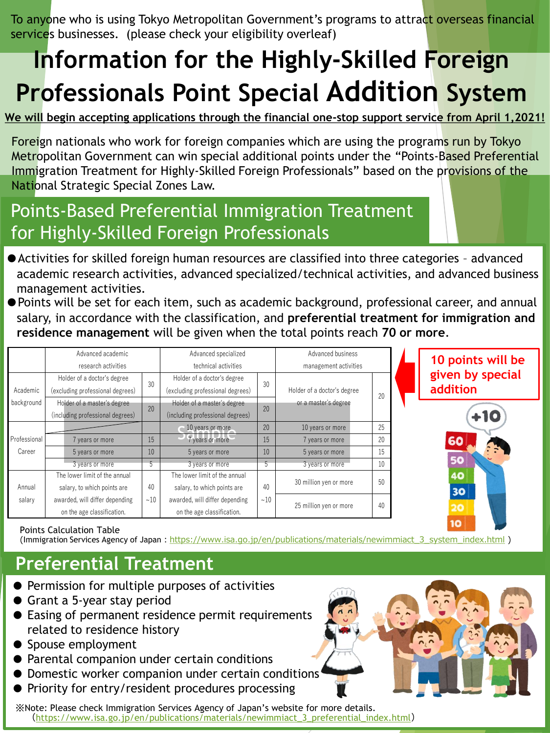To anyone who is using Tokyo Metropolitan Government's programs to attract overseas financial services businesses. (please check your eligibility overleaf)

# **Information for the Highly-Skilled Foreign Professionals Point Special Addition System**

**We will begin accepting applications through the financial one-stop support service from April 1,2021!**

Foreign nationals who work for foreign companies which are using the programs run by Tokyo Metropolitan Government can win special additional points under the "Points-Based Preferential Immigration Treatment for Highly-Skilled Foreign Professionals" based on the provisions of the National Strategic Special Zones Law.

### Points-Based Preferential Immigration Treatment for Highly-Skilled Foreign Professionals

- ●Activities for skilled foreign human resources are classified into three categories advanced academic research activities, advanced specialized/technical activities, and advanced business management activities.
- ●Points will be set for each item, such as academic background, professional career, and annual salary, in accordance with the classification, and **preferential treatment for immigration and residence management** will be given when the total points reach **70 or more**.

|              | Advanced academic                |           | Advanced specialized             |           | Advanced business                                   |    |
|--------------|----------------------------------|-----------|----------------------------------|-----------|-----------------------------------------------------|----|
|              | research activities              |           | technical activities             |           | management activities                               |    |
|              | Holder of a doctor's degree      | 30        | Holder of a doctor's degree      | 30        | Holder of a doctor's degree<br>or a master's degree |    |
| Academic     | (excluding professional degrees) |           | (excluding professional degrees) |           |                                                     | 20 |
| background   | Holder of a master's degree      | 20        | Holder of a master's degree      | 20        |                                                     |    |
|              | (including professional degrees) |           | (including professional degrees) |           |                                                     |    |
|              |                                  |           | 10 years or more                 | 20        | 10 years or more                                    | 25 |
| Professional | 7 years or more                  | 15        | 7 years or more                  | 15        | 7 years or more                                     | 20 |
| Career       | 5 years or more                  | 10        | 5 years or more                  | 10        | 5 years or more                                     | 15 |
|              | 3 years or more                  | 5         | 3 years or more                  | 5         | 3 years or more                                     | 10 |
|              | The lower limit of the annual    |           | The lower limit of the annual    |           | 30 million yen or more                              | 50 |
| Annual       | salary, to which points are      | 40<br>~10 | salary, to which points are      | 40<br>~10 |                                                     |    |
| salary       | awarded, will differ depending   |           | awarded, will differ depending   |           | 25 million yen or more                              | 40 |
|              | on the age classification.       |           | on the age classification.       |           |                                                     |    |

**10 points will be given by special addition**

۱O

#### Points Calculation Table

(Immigration Services Agency of Japan: [https://www.isa.go.jp/en/publications/materials/newimmiact\\_3\\_system\\_index.html](https://www.isa.go.jp/en/publications/materials/newimmiact_3_system_index.html) )

### **Preferential Treatment**

- Permission for multiple purposes of activities
- Grant a 5-year stay period
- Easing of permanent residence permit requirements related to residence history
- Spouse employment
- Parental companion under certain conditions
- Domestic worker companion under certain conditions
- Priority for entry/resident procedures processing

※Note: Please check Immigration Services Agency of Japan's website for more details. ([https://www.isa.go.jp/en/publications/materials/newimmiact\\_3\\_preferential\\_index.html](https://www.isa.go.jp/en/publications/materials/newimmiact_3_preferential_index.html))